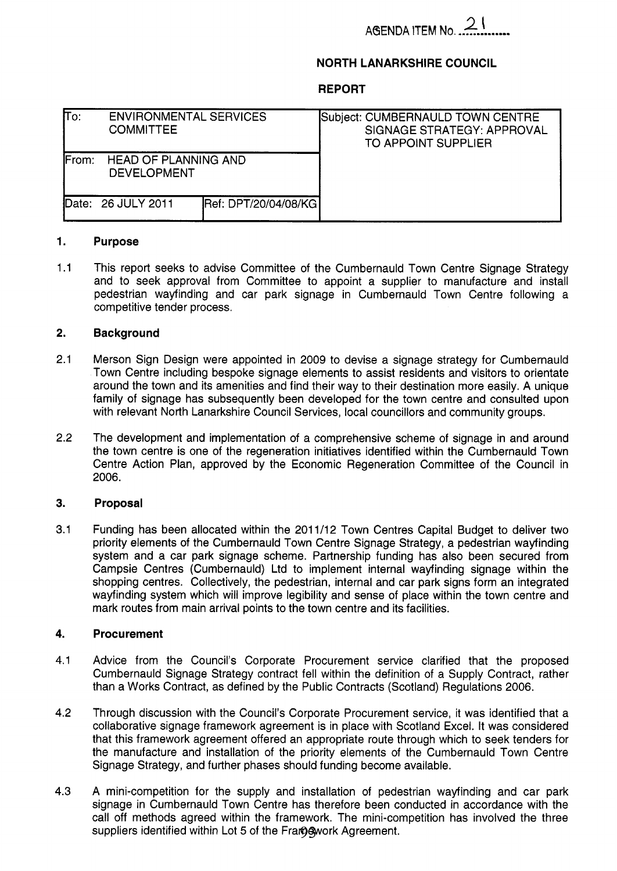# 21 **AdENDA ITEM No.** ...-.......--.

### **NORTH LANARKSHIRE COUNCIL**

### **REPORT**

| lΤo:          | <b>ENVIRONMENTAL SERVICES</b><br><b>COMMITTEE</b> |                             | Subject: CUMBERNAULD TOWN CENTRE<br>SIGNAGE STRATEGY: APPROVAL<br>TO APPOINT SUPPLIER |
|---------------|---------------------------------------------------|-----------------------------|---------------------------------------------------------------------------------------|
| <b>IFrom:</b> | <b>HEAD OF PLANNING AND</b><br><b>DEVELOPMENT</b> |                             |                                                                                       |
|               | Date: 26 JULY 2011                                | <b>Ref: DPT/20/04/08/KG</b> |                                                                                       |

#### **1. Purpose**

1.1 This report seeks to advise Committee of the Cumbernauld Town Centre Signage Strategy and to seek approval from Committee to appoint a supplier to manufacture and install pedestrian wayfinding and car park signage in Cumbernauld Town Centre following a competitive tender process.

#### **2. Background**

- 2.1 Merson Sign Design were appointed in 2009 to devise a signage strategy for Cumbernauld Town Centre including bespoke signage elements to assist residents and visitors to orientate around the town and its amenities and find their way to their destination more easily. A unique family of signage has subsequently been developed for the town centre and consulted upon with relevant North Lanarkshire Council Services. local councillors and community groups.
- 2.2 The development and implementation of a comprehensive scheme of signage in and around the town centre is one of the regeneration initiatives identified within the Cumbernauld Town Centre Action Plan, approved by the Economic Regeneration Committee of the Council in 2006.

#### **3. Proposal**

3.1 Funding has been allocated within the 2011/12 Town Centres Capital Budget to deliver two priority elements of the Cumbernauld Town Centre Signage Strategy, a pedestrian wayfinding system and a car park signage scheme. Partnership funding has also been secured from Campsie Centres (Cumbernauld) Ltd to implement internal wayfinding signage within the shopping centres. Collectively, the pedestrian, internal and car park signs form an integrated wayfinding system which will improve legibility and sense of place within the town centre and mark routes from main arrival points to the town centre and its facilities.

#### **4. Procurement**

- 4.1 Advice from the Council's Corporate Procurement service clarified that the proposed Cumbernauld Signage Strategy contract fell within the definition of a Supply Contract, rather than a Works Contract, as defined by the Public Contracts (Scotland) Regulations 2006.
- 4.2 Through discussion with the Council's Corporate Procurement service, it was identified that a collaborative signage framework agreement is in place with Scotland Excel. It was considered that this framework agreement offered an appropriate route through which to seek tenders for the manufacture and installation of the priority elements of the Cumbernauld Town Centre Signage Strategy, and further phases should funding become available.
- 4.3 A mini-competition for the supply and installation of pedestrian wayfinding and car park signage in Cumbernauld Town Centre has therefore been conducted in accordance with the call off methods agreed within the framework. The mini-competition has involved the three suppliers identified within Lot 5 of the Fram awork Agreement.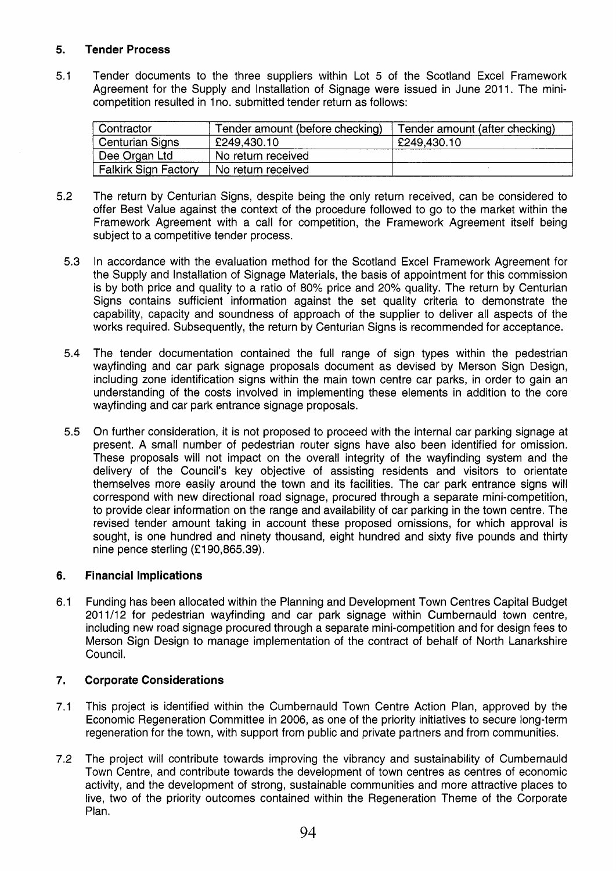## **5. Tender Process**

Tender documents to the three suppliers within Lot 5 of the Scotland Excel Framework **5.1**  Agreement for the Supply and Installation of Signage were issued in June 2011. The minicompetition resulted in 1no. submitted tender return as follows:

| Contractor                  | Tender amount (before checking) | Tender amount (after checking) |
|-----------------------------|---------------------------------|--------------------------------|
| <b>Centurian Signs</b>      | £249,430.10                     | £249,430.10                    |
| Dee Organ Ltd               | No return received              |                                |
| <b>Falkirk Sign Factory</b> | No return received              |                                |

- **5.2**  The return by Centurian Signs, despite being the only return received, can be considered to offer Best Value against the context of the procedure followed to go to the market within the Framework Agreement with a call for competition, the Framework Agreement itself being subject to a competitive tender process.
	- **5.3**  In accordance with the evaluation method for the Scotland Excel Framework Agreement for the Supply and Installation of Signage Materials, the basis of appointment for this commission is by both price and quality to a ratio of 80% price and **20%** quality. The return by Centurian Signs contains sufficient information against the set quality criteria to demonstrate the capability, capacity and soundness of approach of the supplier to deliver all aspects of the works required. Subsequently, the return by Centurian Signs is recommended for acceptance.
	- **5.4**  The tender documentation contained the full range of sign types within the pedestrian wayfinding and car park signage proposals document as devised by Merson Sign Design, including zone identification signs within the main town centre car parks, in order to gain an understanding of the costs involved in implementing these elements in addition to the core wayfinding and car park entrance signage proposals.
	- 5.5 On further consideration, it is not proposed to proceed with the internal car parking signage at present. A small number of pedestrian router signs have also been identified for omission. These proposals will not impact on the overall integrity of the wayfinding system and the delivery of the Council's key objective of assisting residents and visitors to orientate themselves more easily around the town and its facilities. The car park entrance signs will correspond with new directional road signage, procured through a separate mini-competition, to provide clear information on the range and availability of car parking in the town centre. The revised tender amount taking in account these proposed omissions, for which approval is sought, is one hundred and ninety thousand, eight hundred and sixty five pounds and thirty nine pence sterling **(f 190,865.39).**

#### **6. Financial Implications**

**6.1**  Funding has been allocated within the Planning and Development Town Centres Capital Budget **201 1/12** for pedestrian wayfinding and car park signage within Cumbernauld town centre, including new road signage procured through a separate mini-competition and for design fees to Merson Sign Design to manage implementation of the contract of behalf of North Lanarkshire Council.

### **7. Corporate Considerations**

- **7.1**  This project is identified within the Cumbernauld Town Centre Action Plan, approved by the Economic Regeneration Committee in **2006,** as one of the priority initiatives to secure long-term regeneration for the town, with support from public and private partners and from communities.
- **7.2**  The project will contribute towards improving the vibrancy and sustainability of Cumbernauld Town Centre, and contribute towards the development of town centres as centres of economic activity, and the development of strong, sustainable communities and more attractive places to live, two of the priority outcomes contained within the Regeneration Theme of the Corporate Plan.